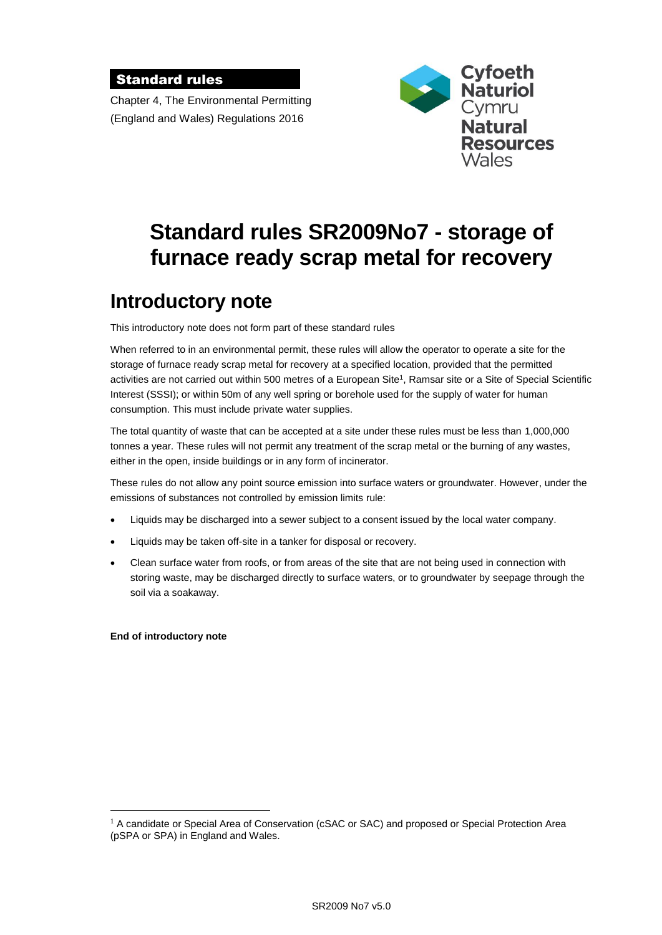#### Standard rules

Chapter 4, The Environmental Permitting (England and Wales) Regulations 2016



# **Standard rules SR2009No7 - storage of furnace ready scrap metal for recovery**

# **Introductory note**

This introductory note does not form part of these standard rules

When referred to in an environmental permit, these rules will allow the operator to operate a site for the storage of furnace ready scrap metal for recovery at a specified location, provided that the permitted activities are not carried out within 500 metres of a European Site<sup>1</sup>, Ramsar site or a Site of Special Scientific Interest (SSSI); or within 50m of any well spring or borehole used for the supply of water for human consumption. This must include private water supplies.

The total quantity of waste that can be accepted at a site under these rules must be less than 1,000,000 tonnes a year. These rules will not permit any treatment of the scrap metal or the burning of any wastes, either in the open, inside buildings or in any form of incinerator.

These rules do not allow any point source emission into surface waters or groundwater. However, under the emissions of substances not controlled by emission limits rule:

- Liquids may be discharged into a sewer subject to a consent issued by the local water company.
- Liquids may be taken off-site in a tanker for disposal or recovery.
- Clean surface water from roofs, or from areas of the site that are not being used in connection with storing waste, may be discharged directly to surface waters, or to groundwater by seepage through the soil via a soakaway.

#### **End of introductory note**

 $\overline{a}$ 

 $<sup>1</sup>$  A candidate or Special Area of Conservation (cSAC or SAC) and proposed or Special Protection Area</sup> (pSPA or SPA) in England and Wales.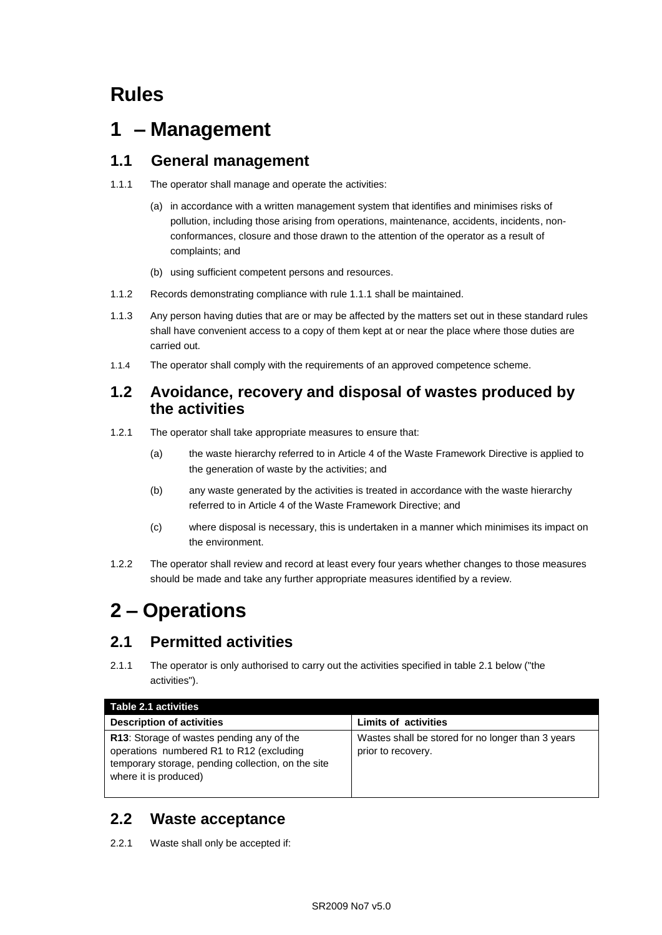# **Rules**

# **1 – Management**

### **1.1 General management**

- 1.1.1 The operator shall manage and operate the activities:
	- (a) in accordance with a written management system that identifies and minimises risks of pollution, including those arising from operations, maintenance, accidents, incidents, nonconformances, closure and those drawn to the attention of the operator as a result of complaints; and
	- (b) using sufficient competent persons and resources.
- 1.1.2 Records demonstrating compliance with rule 1.1.1 shall be maintained.
- 1.1.3 Any person having duties that are or may be affected by the matters set out in these standard rules shall have convenient access to a copy of them kept at or near the place where those duties are carried out.
- 1.1.4 The operator shall comply with the requirements of an approved competence scheme.

#### **1.2 Avoidance, recovery and disposal of wastes produced by the activities**

- 1.2.1 The operator shall take appropriate measures to ensure that:
	- (a) the waste hierarchy referred to in Article 4 of the Waste Framework Directive is applied to the generation of waste by the activities; and
	- (b) any waste generated by the activities is treated in accordance with the waste hierarchy referred to in Article 4 of the Waste Framework Directive; and
	- (c) where disposal is necessary, this is undertaken in a manner which minimises its impact on the environment.
- 1.2.2 The operator shall review and record at least every four years whether changes to those measures should be made and take any further appropriate measures identified by a review.

# **2 – Operations**

## **2.1 Permitted activities**

2.1.1 The operator is only authorised to carry out the activities specified in table 2.1 below ("the activities").

| Table 2.1 activities                                                                                                                                                 |                                                                         |
|----------------------------------------------------------------------------------------------------------------------------------------------------------------------|-------------------------------------------------------------------------|
| <b>Description of activities</b>                                                                                                                                     | <b>Limits of activities</b>                                             |
| R13: Storage of wastes pending any of the<br>operations numbered R1 to R12 (excluding<br>temporary storage, pending collection, on the site<br>where it is produced) | Wastes shall be stored for no longer than 3 years<br>prior to recovery. |

# **2.2 Waste acceptance**

2.2.1 Waste shall only be accepted if: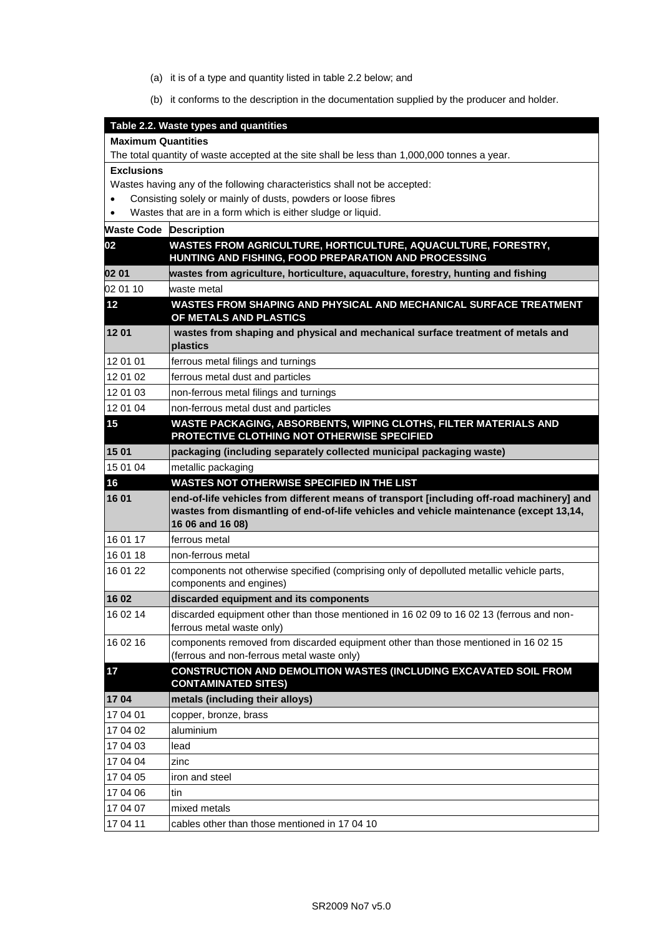- (a) it is of a type and quantity listed in table 2.2 below; and
- (b) it conforms to the description in the documentation supplied by the producer and holder.

|                                                                                              | Table 2.2. Waste types and quantities                                                                                                                                                                   |  |
|----------------------------------------------------------------------------------------------|---------------------------------------------------------------------------------------------------------------------------------------------------------------------------------------------------------|--|
| <b>Maximum Quantities</b>                                                                    |                                                                                                                                                                                                         |  |
| The total quantity of waste accepted at the site shall be less than 1,000,000 tonnes a year. |                                                                                                                                                                                                         |  |
| <b>Exclusions</b>                                                                            |                                                                                                                                                                                                         |  |
|                                                                                              | Wastes having any of the following characteristics shall not be accepted:                                                                                                                               |  |
|                                                                                              | Consisting solely or mainly of dusts, powders or loose fibres                                                                                                                                           |  |
|                                                                                              | Wastes that are in a form which is either sludge or liquid.                                                                                                                                             |  |
| <b>Waste Code Description</b>                                                                |                                                                                                                                                                                                         |  |
| 02                                                                                           | WASTES FROM AGRICULTURE, HORTICULTURE, AQUACULTURE, FORESTRY,<br>HUNTING AND FISHING, FOOD PREPARATION AND PROCESSING                                                                                   |  |
| 02 01                                                                                        | wastes from agriculture, horticulture, aquaculture, forestry, hunting and fishing                                                                                                                       |  |
| 02 01 10                                                                                     | waste metal                                                                                                                                                                                             |  |
| 12                                                                                           | WASTES FROM SHAPING AND PHYSICAL AND MECHANICAL SURFACE TREATMENT<br>OF METALS AND PLASTICS                                                                                                             |  |
| 12 01                                                                                        | wastes from shaping and physical and mechanical surface treatment of metals and<br>plastics                                                                                                             |  |
| 12 01 01                                                                                     | ferrous metal filings and turnings                                                                                                                                                                      |  |
| 12 01 02                                                                                     | ferrous metal dust and particles                                                                                                                                                                        |  |
| 12 01 03                                                                                     | non-ferrous metal filings and turnings                                                                                                                                                                  |  |
| 12 01 04                                                                                     | non-ferrous metal dust and particles                                                                                                                                                                    |  |
| 15                                                                                           | WASTE PACKAGING, ABSORBENTS, WIPING CLOTHS, FILTER MATERIALS AND<br>PROTECTIVE CLOTHING NOT OTHERWISE SPECIFIED                                                                                         |  |
| 15 01                                                                                        | packaging (including separately collected municipal packaging waste)                                                                                                                                    |  |
| 15 01 04                                                                                     | metallic packaging                                                                                                                                                                                      |  |
| 16                                                                                           | WASTES NOT OTHERWISE SPECIFIED IN THE LIST                                                                                                                                                              |  |
| 16 01                                                                                        | end-of-life vehicles from different means of transport [including off-road machinery] and<br>wastes from dismantling of end-of-life vehicles and vehicle maintenance (except 13,14,<br>16 06 and 16 08) |  |
| 16 01 17                                                                                     | ferrous metal                                                                                                                                                                                           |  |
| 16 01 18                                                                                     | non-ferrous metal                                                                                                                                                                                       |  |
| 16 01 22                                                                                     | components not otherwise specified (comprising only of depolluted metallic vehicle parts,<br>components and engines)                                                                                    |  |
| 16 02                                                                                        | discarded equipment and its components                                                                                                                                                                  |  |
| 16 02 14                                                                                     | discarded equipment other than those mentioned in 16 02 09 to 16 02 13 (ferrous and non-<br>ferrous metal waste only)                                                                                   |  |
| 16 02 16                                                                                     | components removed from discarded equipment other than those mentioned in 16 02 15<br>(ferrous and non-ferrous metal waste only)                                                                        |  |
| 17                                                                                           | CONSTRUCTION AND DEMOLITION WASTES (INCLUDING EXCAVATED SOIL FROM<br><b>CONTAMINATED SITES)</b>                                                                                                         |  |
| 1704                                                                                         | metals (including their alloys)                                                                                                                                                                         |  |
| 17 04 01                                                                                     | copper, bronze, brass                                                                                                                                                                                   |  |
| 17 04 02                                                                                     | aluminium                                                                                                                                                                                               |  |
| 17 04 03                                                                                     | lead                                                                                                                                                                                                    |  |
| 17 04 04                                                                                     | zinc                                                                                                                                                                                                    |  |
| 17 04 05                                                                                     | iron and steel                                                                                                                                                                                          |  |
| 17 04 06                                                                                     | tin                                                                                                                                                                                                     |  |
| 17 04 07                                                                                     | mixed metals                                                                                                                                                                                            |  |
| 17 04 11                                                                                     | cables other than those mentioned in 1704 10                                                                                                                                                            |  |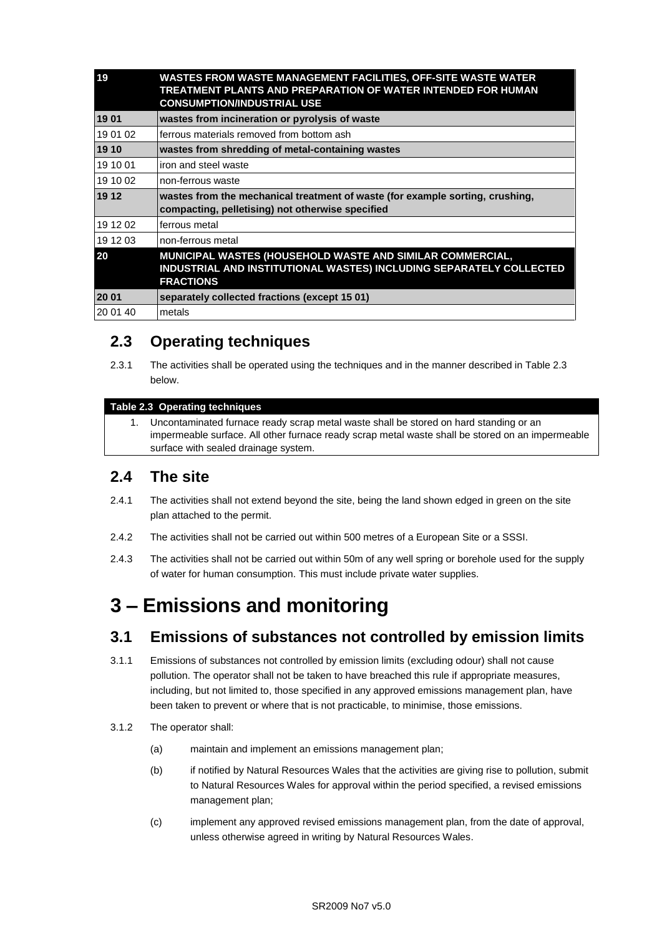| 19       | WASTES FROM WASTE MANAGEMENT FACILITIES, OFF-SITE WASTE WATER<br>TREATMENT PLANTS AND PREPARATION OF WATER INTENDED FOR HUMAN<br><b>CONSUMPTION/INDUSTRIAL USE</b> |
|----------|--------------------------------------------------------------------------------------------------------------------------------------------------------------------|
| 1901     | wastes from incineration or pyrolysis of waste                                                                                                                     |
| 19 01 02 | ferrous materials removed from bottom ash                                                                                                                          |
| 19 10    | wastes from shredding of metal-containing wastes                                                                                                                   |
| 19 10 01 | iron and steel waste                                                                                                                                               |
| 19 10 02 | non-ferrous waste                                                                                                                                                  |
| 19 12    | wastes from the mechanical treatment of waste (for example sorting, crushing,<br>compacting, pelletising) not otherwise specified                                  |
| 19 12 02 | ferrous metal                                                                                                                                                      |
| 19 12 03 | non-ferrous metal                                                                                                                                                  |
| 20       | MUNICIPAL WASTES (HOUSEHOLD WASTE AND SIMILAR COMMERCIAL,<br>INDUSTRIAL AND INSTITUTIONAL WASTES) INCLUDING SEPARATELY COLLECTED<br><b>FRACTIONS</b>               |
| 20 01    | separately collected fractions (except 15 01)                                                                                                                      |
| 20 01 40 | metals                                                                                                                                                             |

# **2.3 Operating techniques**

2.3.1 The activities shall be operated using the techniques and in the manner described in Table 2.3 below.

#### **Table 2.3 Operating techniques**

1. Uncontaminated furnace ready scrap metal waste shall be stored on hard standing or an impermeable surface. All other furnace ready scrap metal waste shall be stored on an impermeable surface with sealed drainage system.

### **2.4 The site**

- 2.4.1 The activities shall not extend beyond the site, being the land shown edged in green on the site plan attached to the permit.
- 2.4.2 The activities shall not be carried out within 500 metres of a European Site or a SSSI.
- 2.4.3 The activities shall not be carried out within 50m of any well spring or borehole used for the supply of water for human consumption. This must include private water supplies.

# **3 – Emissions and monitoring**

### **3.1 Emissions of substances not controlled by emission limits**

- 3.1.1 Emissions of substances not controlled by emission limits (excluding odour) shall not cause pollution. The operator shall not be taken to have breached this rule if appropriate measures, including, but not limited to, those specified in any approved emissions management plan, have been taken to prevent or where that is not practicable, to minimise, those emissions.
- 3.1.2 The operator shall:
	- (a) maintain and implement an emissions management plan;
	- (b) if notified by Natural Resources Wales that the activities are giving rise to pollution, submit to Natural Resources Wales for approval within the period specified, a revised emissions management plan;
	- (c) implement any approved revised emissions management plan, from the date of approval, unless otherwise agreed in writing by Natural Resources Wales.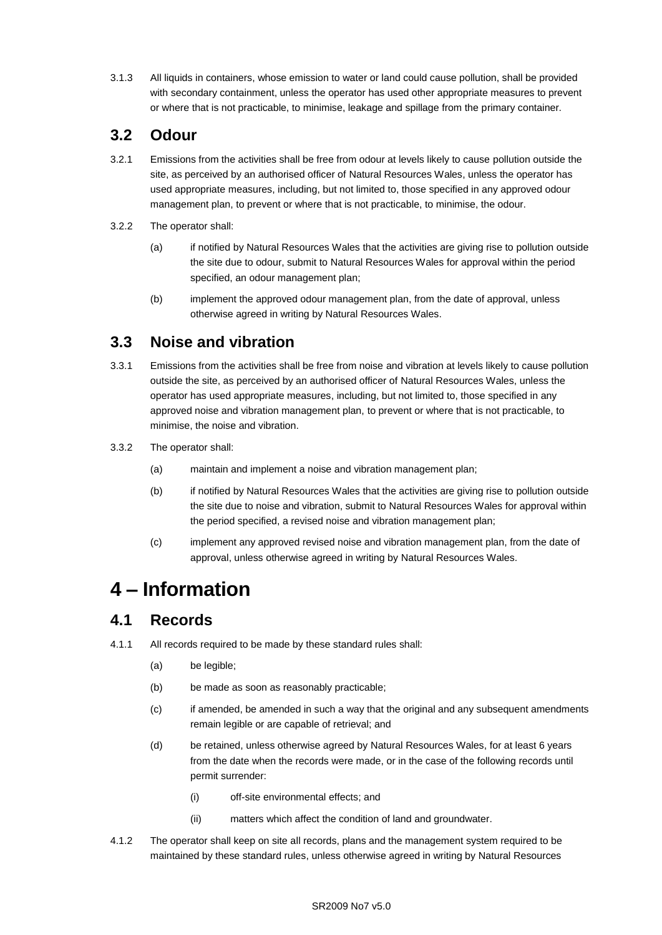3.1.3 All liquids in containers, whose emission to water or land could cause pollution, shall be provided with secondary containment, unless the operator has used other appropriate measures to prevent or where that is not practicable, to minimise, leakage and spillage from the primary container.

### **3.2 Odour**

- 3.2.1 Emissions from the activities shall be free from odour at levels likely to cause pollution outside the site, as perceived by an authorised officer of Natural Resources Wales, unless the operator has used appropriate measures, including, but not limited to, those specified in any approved odour management plan, to prevent or where that is not practicable, to minimise, the odour.
- 3.2.2 The operator shall:
	- (a) if notified by Natural Resources Wales that the activities are giving rise to pollution outside the site due to odour, submit to Natural Resources Wales for approval within the period specified, an odour management plan;
	- (b) implement the approved odour management plan, from the date of approval, unless otherwise agreed in writing by Natural Resources Wales.

## **3.3 Noise and vibration**

- 3.3.1 Emissions from the activities shall be free from noise and vibration at levels likely to cause pollution outside the site, as perceived by an authorised officer of Natural Resources Wales, unless the operator has used appropriate measures, including, but not limited to, those specified in any approved noise and vibration management plan, to prevent or where that is not practicable, to minimise, the noise and vibration.
- 3.3.2 The operator shall:
	- (a) maintain and implement a noise and vibration management plan;
	- (b) if notified by Natural Resources Wales that the activities are giving rise to pollution outside the site due to noise and vibration, submit to Natural Resources Wales for approval within the period specified, a revised noise and vibration management plan;
	- (c) implement any approved revised noise and vibration management plan, from the date of approval, unless otherwise agreed in writing by Natural Resources Wales.

# **4 – Information**

## **4.1 Records**

- 4.1.1 All records required to be made by these standard rules shall:
	- (a) be legible;
	- (b) be made as soon as reasonably practicable;
	- (c) if amended, be amended in such a way that the original and any subsequent amendments remain legible or are capable of retrieval; and
	- (d) be retained, unless otherwise agreed by Natural Resources Wales, for at least 6 years from the date when the records were made, or in the case of the following records until permit surrender:
		- (i) off-site environmental effects; and
		- (ii) matters which affect the condition of land and groundwater.
- 4.1.2 The operator shall keep on site all records, plans and the management system required to be maintained by these standard rules, unless otherwise agreed in writing by Natural Resources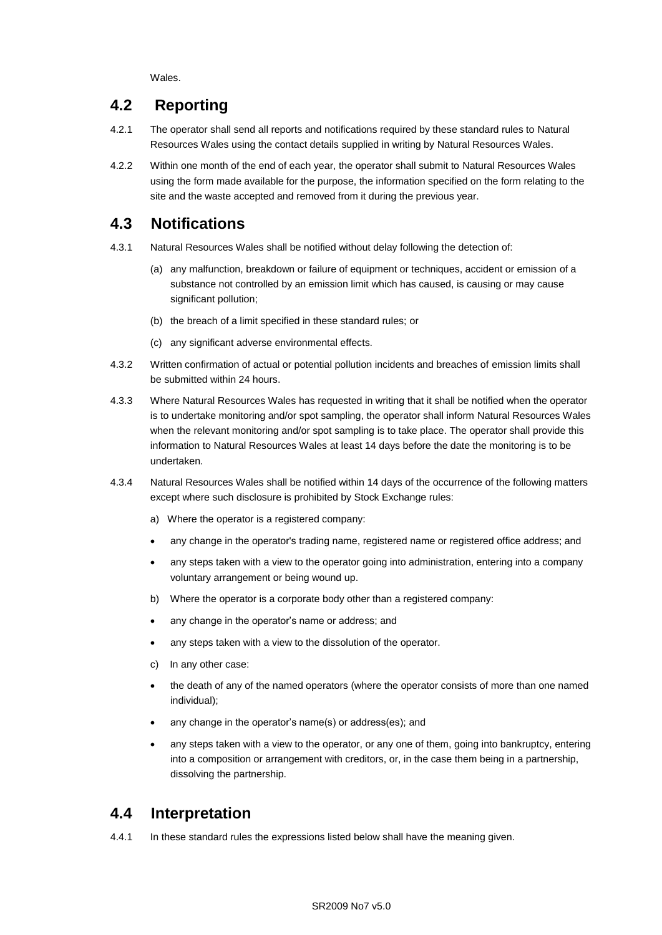Wales.

## **4.2 Reporting**

- 4.2.1 The operator shall send all reports and notifications required by these standard rules to Natural Resources Wales using the contact details supplied in writing by Natural Resources Wales.
- 4.2.2 Within one month of the end of each year, the operator shall submit to Natural Resources Wales using the form made available for the purpose, the information specified on the form relating to the site and the waste accepted and removed from it during the previous year.

### **4.3 Notifications**

- 4.3.1 Natural Resources Wales shall be notified without delay following the detection of:
	- (a) any malfunction, breakdown or failure of equipment or techniques, accident or emission of a substance not controlled by an emission limit which has caused, is causing or may cause significant pollution;
	- (b) the breach of a limit specified in these standard rules; or
	- (c) any significant adverse environmental effects.
- 4.3.2 Written confirmation of actual or potential pollution incidents and breaches of emission limits shall be submitted within 24 hours.
- 4.3.3 Where Natural Resources Wales has requested in writing that it shall be notified when the operator is to undertake monitoring and/or spot sampling, the operator shall inform Natural Resources Wales when the relevant monitoring and/or spot sampling is to take place. The operator shall provide this information to Natural Resources Wales at least 14 days before the date the monitoring is to be undertaken.
- 4.3.4 Natural Resources Wales shall be notified within 14 days of the occurrence of the following matters except where such disclosure is prohibited by Stock Exchange rules:
	- a) Where the operator is a registered company:
	- any change in the operator's trading name, registered name or registered office address; and
	- any steps taken with a view to the operator going into administration, entering into a company voluntary arrangement or being wound up.
	- b) Where the operator is a corporate body other than a registered company:
	- any change in the operator's name or address; and
	- any steps taken with a view to the dissolution of the operator.
	- c) In any other case:
	- the death of any of the named operators (where the operator consists of more than one named individual);
	- any change in the operator's name(s) or address(es); and
	- any steps taken with a view to the operator, or any one of them, going into bankruptcy, entering into a composition or arrangement with creditors, or, in the case them being in a partnership, dissolving the partnership.

### **4.4 Interpretation**

4.4.1 In these standard rules the expressions listed below shall have the meaning given.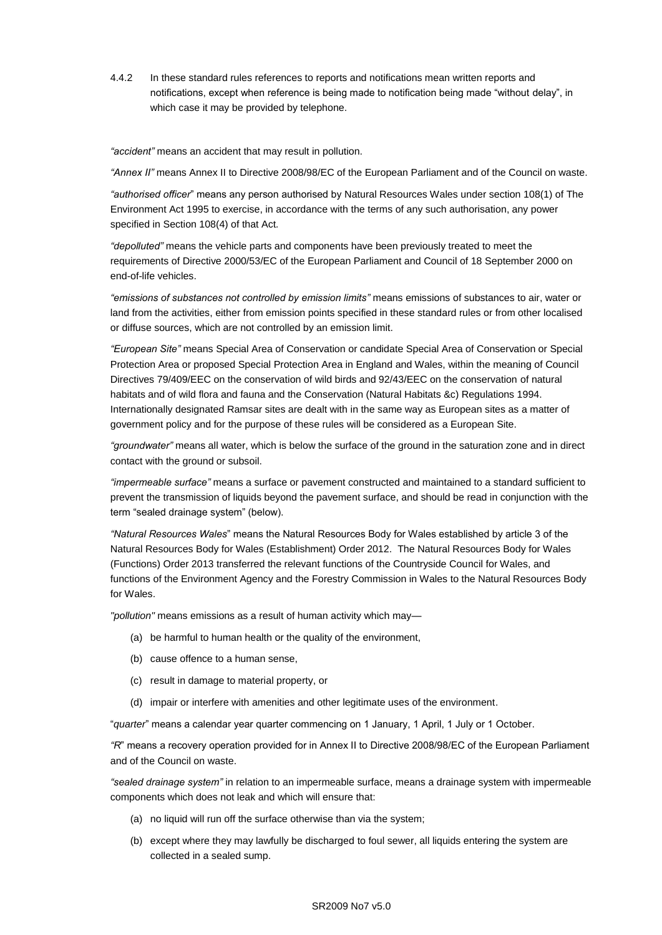4.4.2 In these standard rules references to reports and notifications mean written reports and notifications, except when reference is being made to notification being made "without delay", in which case it may be provided by telephone.

*"accident"* means an accident that may result in pollution.

*"Annex II"* means Annex II to Directive 2008/98/EC of the European Parliament and of the Council on waste.

*"authorised officer*" means any person authorised by Natural Resources Wales under section 108(1) of The Environment Act 1995 to exercise, in accordance with the terms of any such authorisation, any power specified in Section 108(4) of that Act*.*

*"depolluted"* means the vehicle parts and components have been previously treated to meet the requirements of Directive 2000/53/EC of the European Parliament and Council of 18 September 2000 on end-of-life vehicles.

*"emissions of substances not controlled by emission limits"* means emissions of substances to air, water or land from the activities, either from emission points specified in these standard rules or from other localised or diffuse sources, which are not controlled by an emission limit.

*"European Site"* means Special Area of Conservation or candidate Special Area of Conservation or Special Protection Area or proposed Special Protection Area in England and Wales, within the meaning of Council Directives 79/409/EEC on the conservation of wild birds and 92/43/EEC on the conservation of natural habitats and of wild flora and fauna and the Conservation (Natural Habitats &c) Regulations 1994. Internationally designated Ramsar sites are dealt with in the same way as European sites as a matter of government policy and for the purpose of these rules will be considered as a European Site.

*"groundwater"* means all water, which is below the surface of the ground in the saturation zone and in direct contact with the ground or subsoil.

*"impermeable surface"* means a surface or pavement constructed and maintained to a standard sufficient to prevent the transmission of liquids beyond the pavement surface, and should be read in conjunction with the term "sealed drainage system" (below).

*"Natural Resources Wales*" means the Natural Resources Body for Wales established by article 3 of the Natural Resources Body for Wales (Establishment) Order 2012. The Natural Resources Body for Wales (Functions) Order 2013 transferred the relevant functions of the Countryside Council for Wales, and functions of the Environment Agency and the Forestry Commission in Wales to the Natural Resources Body for Wales.

*"pollution"* means emissions as a result of human activity which may—

- (a) be harmful to human health or the quality of the environment,
- (b) cause offence to a human sense,
- (c) result in damage to material property, or
- (d) impair or interfere with amenities and other legitimate uses of the environment.

"*quarter*" means a calendar year quarter commencing on 1 January, 1 April, 1 July or 1 October.

*"R*" means a recovery operation provided for in Annex II to Directive 2008/98/EC of the European Parliament and of the Council on waste.

*"sealed drainage system"* in relation to an impermeable surface, means a drainage system with impermeable components which does not leak and which will ensure that:

- (a) no liquid will run off the surface otherwise than via the system;
- (b) except where they may lawfully be discharged to foul sewer, all liquids entering the system are collected in a sealed sump.